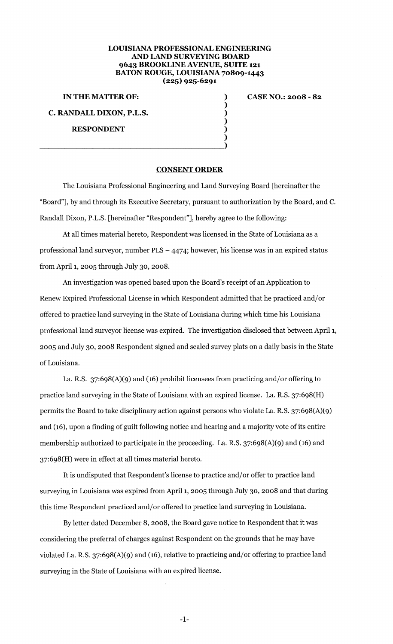## **LOUISIANA PROFESSIONAL ENGINEERING AND LAND SURVEYING BOARD 9643 BROOKLINE AVENUE, SUITE 121 BATON ROUGE, LOUISIANA 70809-1443 (225) 925-6291**

) )  $\mathbf{\hat{j}}$ ) )

**IN THE MATTER OF:** 

**C. RANDALL DIXON, P.L.S.** 

## **RESPONDENT**

) and the contract of the contract of  $\overline{\phantom{a}}$  ) and  $\overline{\phantom{a}}$ 

## **CASE NO.: 2008- 82**

## **CONSENT ORDER**

The Louisiana Professional Engineering and Land Surveying Board [hereinafter the "Board"], by and through its Executive Secretary, pursuant to authorization by the Board, and C. Randall Dixon, P.L.S. [hereinafter "Respondent"], hereby agree to the following:

At all times material hereto, Respondent was licensed in the State of Louisiana as a professional land surveyor, number  $PLS - 4474$ ; however, his license was in an expired status from April 1, 2005 through July 30, 2008.

An investigation was opened based upon the Board's receipt of an Application to Renew Expired Professional License in which Respondent admitted that he practiced and/ or offered to practice land surveying in the State of Louisiana during which time his Louisiana professional land surveyor license was expired. The investigation disclosed that between April 1, 2005 and July 30, 2008 Respondent signed and sealed survey plats on a daily basis in the State of Louisiana.

La. R.S. 37:6g8(A)(9) and (16) prohibit licensees from practicing and/or offering to practice land surveying in the State of Louisiana with an expired license. La. R.S. 37:6g8(H) permits the Board to take disciplinary action against persons who violate La. R.S. 37:6g8(A)(9) and (16), upon a finding of guilt following notice and hearing and a majority vote of its entire membership authorized to participate in the proceeding. La. R.S. 37:6g8(A)(9) and (16) and 37:6g8(H) were in effect at all times material hereto.

It is undisputed that Respondent's license to practice and/or offer to practice land surveying in Louisiana was expired from April 1, 2005 through July 30, 2008 and that during this time Respondent practiced and/or offered to practice land surveying in Louisiana.

By letter dated December 8, 2008, the Board gave notice to Respondent that it was considering the preferral of charges against Respondent on the grounds that he may have violated La. R.S. 37:6g8(A)(9) and (16), relative to practicing and/or offering to practice land surveying in the State of Louisiana with an expired license.

-1-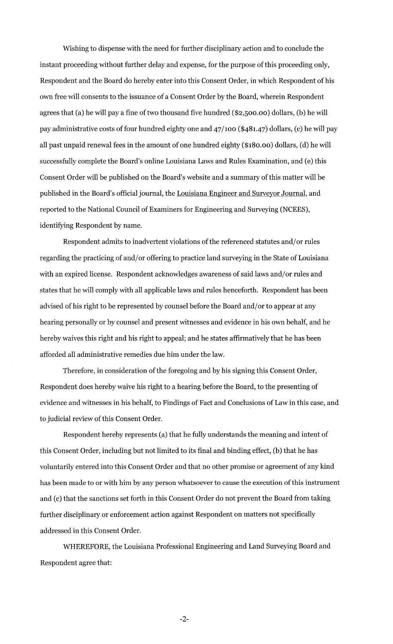Wishing to dispense with the need for further disciplinary action and to conclude the instant proceeding without further delay and expense, for the purpose of this proceeding only, Respondent and the Board do hereby enter into this Consent Order, in which Respondent of his own free will consents to the issuance of a Consent Order by the Board, wherein Respondent agrees that (a) he will pay a fine of two thousand five hundred (\$2,500.00) dollars, (b) he will pay administrative costs of four hundred eighty one and 47/100 (\$481.47) dollars, (c) he will pay all past unpaid renewal fees in the amount of one hundred eighty (\$180.00) dollars, (d) he will successfully complete the Board's online Louisiana Laws and Rules Examination, and (e) this Consent Order will be published on the Board's website and a summary of this matter will be published in the Board's official journal, the Louisiana Engineer and Surveyor Journal, and reported to the National Council of Examiners for Engineering and Surveying (NCEES), identifying Respondent by name.

Respondent admits to inadvertent violations of the referenced statutes and/ or rules regarding the practicing of and/or offering to practice land surveying in the State of Louisiana with an expired license. Respondent acknowledges awareness of said laws and/or rules and states that he will comply with all applicable laws and rules henceforth. Respondent has been advised of his right to be represented by counsel before the Board and/ or to appear at any hearing personally or by counsel and present witnesses and evidence in his own behalf, and he hereby waives this right and his right to appeal; and he states affirmatively that he has been afforded all administrative remedies due him under the law.

Therefore, in consideration of the foregoing and by his signing this Consent Order, Respondent does hereby waive his right to a hearing before the Board, to the presenting of evidence and witnesses in his behalf, to Findings of Fact and Conclusions of Law in this case, and to judicial review of this Consent Order.

Respondent hereby represents (a) that he fully understands the meaning and intent of this Consent Order, including but not limited to its final and binding effect, (b) that he has voluntarily entered into this Consent Order and that no other promise or agreement of any kind has been made to or with him by any person whatsoever to cause the execution of this instrument and (c) that the sanctions set forth in this Consent Order do not prevent the Board from taking further disciplinary or enforcement action against Respondent on matters not specifically addressed in this Consent Order.

WHEREFORE, the Louisiana Professional Engineering and Land Surveying Board and Respondent agree that:

-2-